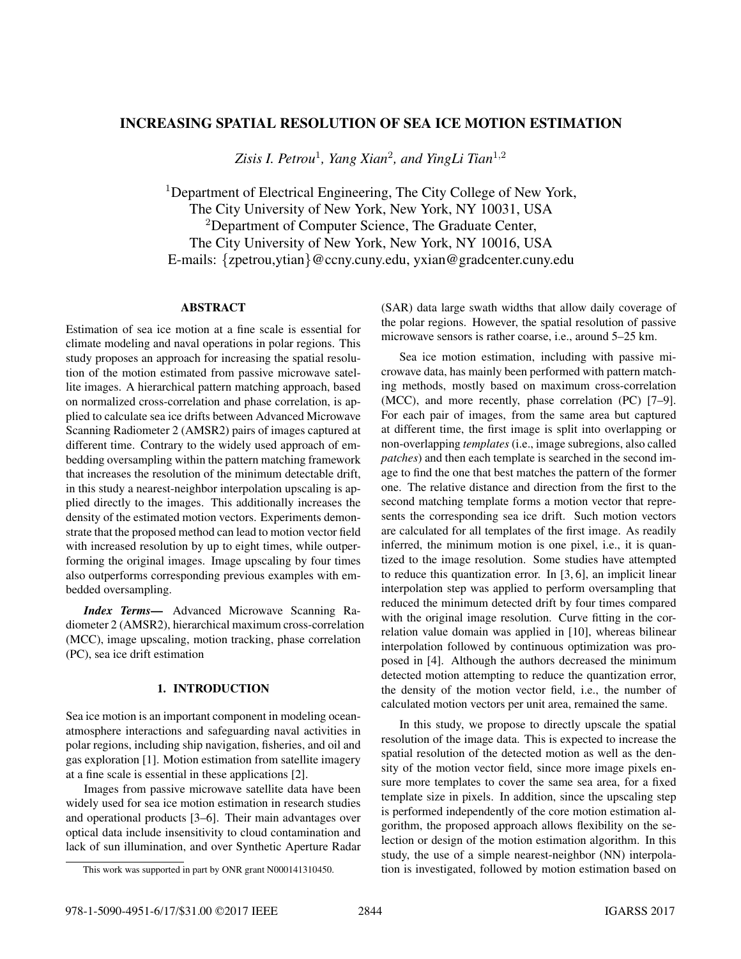# INCREASING SPATIAL RESOLUTION OF SEA ICE MOTION ESTIMATION

*Zisis I. Petrou*<sup>1</sup>*, Yang Xian*<sup>2</sup>*, and YingLi Tian*<sup>1</sup>,<sup>2</sup>

<sup>1</sup>Department of Electrical Engineering, The City College of New York, The City University of New York, New York, NY 10031, USA <sup>2</sup>Department of Computer Science, The Graduate Center, The City University of New York, New York, NY 10016, USA E-mails: {zpetrou,ytian}@ccny.cuny.edu, yxian@gradcenter.cuny.edu

### **ABSTRACT** ABSTRACT

Estimation of sea ice motion at a fine scale is essential for climate modeling and naval operations in polar regions. This study proposes an approach for increasing the spatial resolution of the motion estimated from passive microwave satellite images. A hierarchical pattern matching approach, based on normalized cross-correlation and phase correlation, is applied to calculate sea ice drifts between Advanced Microwave Scanning Radiometer 2 (AMSR2) pairs of images captured at different time. Contrary to the widely used approach of embedding oversampling within the pattern matching framework that increases the resolution of the minimum detectable drift, in this study a nearest-neighbor interpolation upscaling is applied directly to the images. This additionally increases the density of the estimated motion vectors. Experiments demonstrate that the proposed method can lead to motion vector field with increased resolution by up to eight times, while outperforming the original images. Image upscaling by four times also outperforms corresponding previous examples with embedded oversampling.

*Index Terms*— Advanced Microwave Scanning Radiometer 2 (AMSR2), hierarchical maximum cross-correlation (MCC), image upscaling, motion tracking, phase correlation (PC), sea ice drift estimation

## 1. INTRODUCTION

Sea ice motion is an important component in modeling oceanatmosphere interactions and safeguarding naval activities in polar regions, including ship navigation, fisheries, and oil and gas exploration [1]. Motion estimation from satellite imagery at a fine scale is essential in these applications [2].

Images from passive microwave satellite data have been widely used for sea ice motion estimation in research studies and operational products [3–6]. Their main advantages over optical data include insensitivity to cloud contamination and lack of sun illumination, and over Synthetic Aperture Radar (SAR) data large swath widths that allow daily coverage of the polar regions. However, the spatial resolution of passive microwave sensors is rather coarse, i.e., around 5–25 km.

Sea ice motion estimation, including with passive microwave data, has mainly been performed with pattern matching methods, mostly based on maximum cross-correlation (MCC), and more recently, phase correlation (PC) [7–9]. For each pair of images, from the same area but captured at different time, the first image is split into overlapping or non-overlapping *templates* (i.e., image subregions, also called *patches*) and then each template is searched in the second image to find the one that best matches the pattern of the former one. The relative distance and direction from the first to the second matching template forms a motion vector that represents the corresponding sea ice drift. Such motion vectors are calculated for all templates of the first image. As readily inferred, the minimum motion is one pixel, i.e., it is quantized to the image resolution. Some studies have attempted to reduce this quantization error. In [3, 6], an implicit linear interpolation step was applied to perform oversampling that reduced the minimum detected drift by four times compared with the original image resolution. Curve fitting in the correlation value domain was applied in [10], whereas bilinear interpolation followed by continuous optimization was proposed in [4]. Although the authors decreased the minimum detected motion attempting to reduce the quantization error, the density of the motion vector field, i.e., the number of calculated motion vectors per unit area, remained the same.

In this study, we propose to directly upscale the spatial resolution of the image data. This is expected to increase the spatial resolution of the detected motion as well as the density of the motion vector field, since more image pixels ensure more templates to cover the same sea area, for a fixed template size in pixels. In addition, since the upscaling step is performed independently of the core motion estimation algorithm, the proposed approach allows flexibility on the selection or design of the motion estimation algorithm. In this study, the use of a simple nearest-neighbor (NN) interpolation is investigated, followed by motion estimation based on

This work was supported in part by ONR grant N000141310450.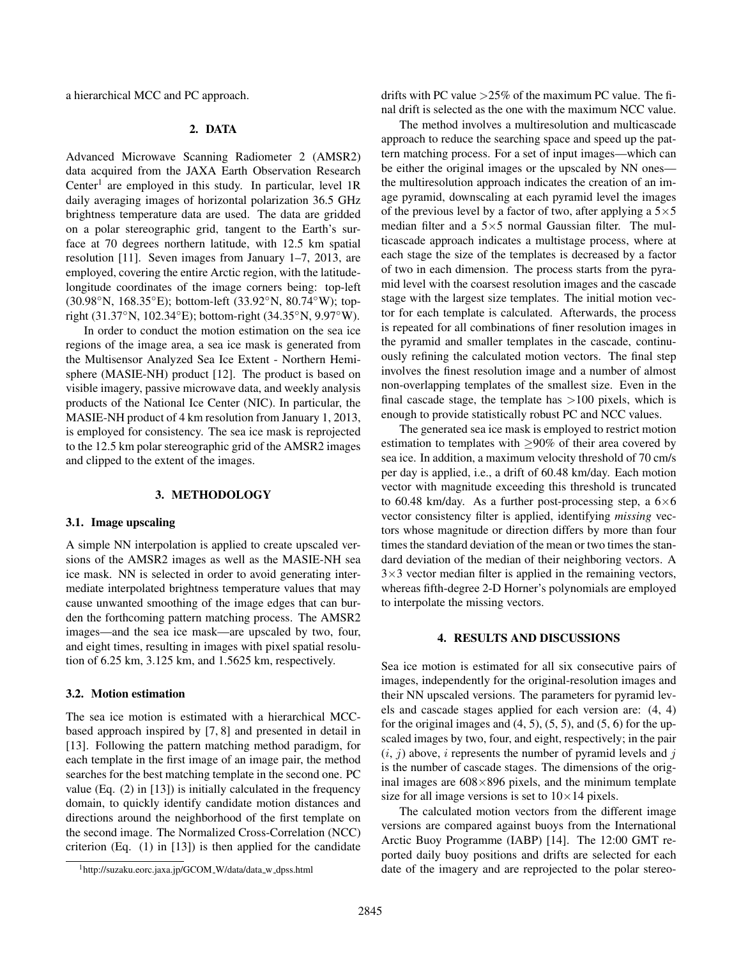a hierarchical MCC and PC approach.

### 2. DATA

Advanced Microwave Scanning Radiometer 2 (AMSR2) data acquired from the JAXA Earth Observation Research Center<sup>1</sup> are employed in this study. In particular, level  $1R$ daily averaging images of horizontal polarization 36.5 GHz brightness temperature data are used. The data are gridded on a polar stereographic grid, tangent to the Earth's surface at 70 degrees northern latitude, with 12.5 km spatial resolution [11]. Seven images from January 1–7, 2013, are employed, covering the entire Arctic region, with the latitudelongitude coordinates of the image corners being: top-left (30.98◦N, 168.35◦E); bottom-left (33.92◦N, 80.74◦W); topright (31.37◦N, 102.34◦E); bottom-right (34.35◦N, 9.97◦W).

In order to conduct the motion estimation on the sea ice regions of the image area, a sea ice mask is generated from the Multisensor Analyzed Sea Ice Extent - Northern Hemisphere (MASIE-NH) product [12]. The product is based on visible imagery, passive microwave data, and weekly analysis products of the National Ice Center (NIC). In particular, the MASIE-NH product of 4 km resolution from January 1, 2013, is employed for consistency. The sea ice mask is reprojected to the 12.5 km polar stereographic grid of the AMSR2 images and clipped to the extent of the images.

## \*\* \*\*\*\*\*\*\*\* \*\*\* \*\*

### 3.1. Image upscaling

A simple NN interpolation is applied to create upscaled versions of the AMSR2 images as well as the MASIE-NH sea ice mask. NN is selected in order to avoid generating intermediate interpolated brightness temperature values that may cause unwanted smoothing of the image edges that can burden the forthcoming pattern matching process. The AMSR2 images—and the sea ice mask—are upscaled by two, four, and eight times, resulting in images with pixel spatial resolution of 6.25 km, 3.125 km, and 1.5625 km, respectively.

The sea ice motion is estimated with a hierarchical MCCbased approach inspired by [7, 8] and presented in detail in [13]. Following the pattern matching method paradigm, for each template in the first image of an image pair, the method searches for the best matching template in the second one. PC value (Eq. (2) in [13]) is initially calculated in the frequency domain, to quickly identify candidate motion distances and directions around the neighborhood of the first template on the second image. The Normalized Cross-Correlation (NCC) criterion (Eq. (1) in [13]) is then applied for the candidate

drifts with PC value  $>25\%$  of the maximum PC value. The final drift is selected as the one with the maximum NCC value.

The method involves a multiresolution and multicascade approach to reduce the searching space and speed up the pattern matching process. For a set of input images—which can be either the original images or the upscaled by NN ones the multiresolution approach indicates the creation of an image pyramid, downscaling at each pyramid level the images of the previous level by a factor of two, after applying a  $5\times 5$ median filter and a  $5\times 5$  normal Gaussian filter. The multicascade approach indicates a multistage process, where at each stage the size of the templates is decreased by a factor of two in each dimension. The process starts from the pyramid level with the coarsest resolution images and the cascade stage with the largest size templates. The initial motion vector for each template is calculated. Afterwards, the process is repeated for all combinations of finer resolution images in the pyramid and smaller templates in the cascade, continuously refining the calculated motion vectors. The final step involves the finest resolution image and a number of almost non-overlapping templates of the smallest size. Even in the final cascade stage, the template has >100 pixels, which is enough to provide statistically robust PC and NCC values.

The generated sea ice mask is employed to restrict motion estimation to templates with  $\geq 90\%$  of their area covered by sea ice. In addition, a maximum velocity threshold of 70 cm/s per day is applied, i.e., a drift of 60.48 km/day. Each motion vector with magnitude exceeding this threshold is truncated to 60.48 km/day. As a further post-processing step, a  $6\times6$ vector consistency filter is applied, identifying *missing* vectors whose magnitude or direction differs by more than four times the standard deviation of the mean or two times the standard deviation of the median of their neighboring vectors. A  $3\times3$  vector median filter is applied in the remaining vectors, whereas fifth-degree 2-D Horner's polynomials are employed to interpolate the missing vectors.

### 4. RESULTS AND DISCUSSIONS

Sea ice motion is estimated for all six consecutive pairs of images, independently for the original-resolution images and their NN upscaled versions. The parameters for pyramid levels and cascade stages applied for each version are: (4, 4) for the original images and  $(4, 5)$ ,  $(5, 5)$ , and  $(5, 6)$  for the upscaled images by two, four, and eight, respectively; in the pair  $(i, j)$  above, *i* represents the number of pyramid levels and *j* is the number of cascade stages. The dimensions of the original images are  $608\times896$  pixels, and the minimum template size for all image versions is set to  $10\times14$  pixels.

The calculated motion vectors from the different image versions are compared against buoys from the International Arctic Buoy Programme (IABP) [14]. The 12:00 GMT reported daily buoy positions and drifts are selected for each date of the imagery and are reprojected to the polar stereo-

<sup>&</sup>lt;sup>1</sup>http://suzaku.eorc.jaxa.jp/GCOM\_W/data/data\_w\_dpss.html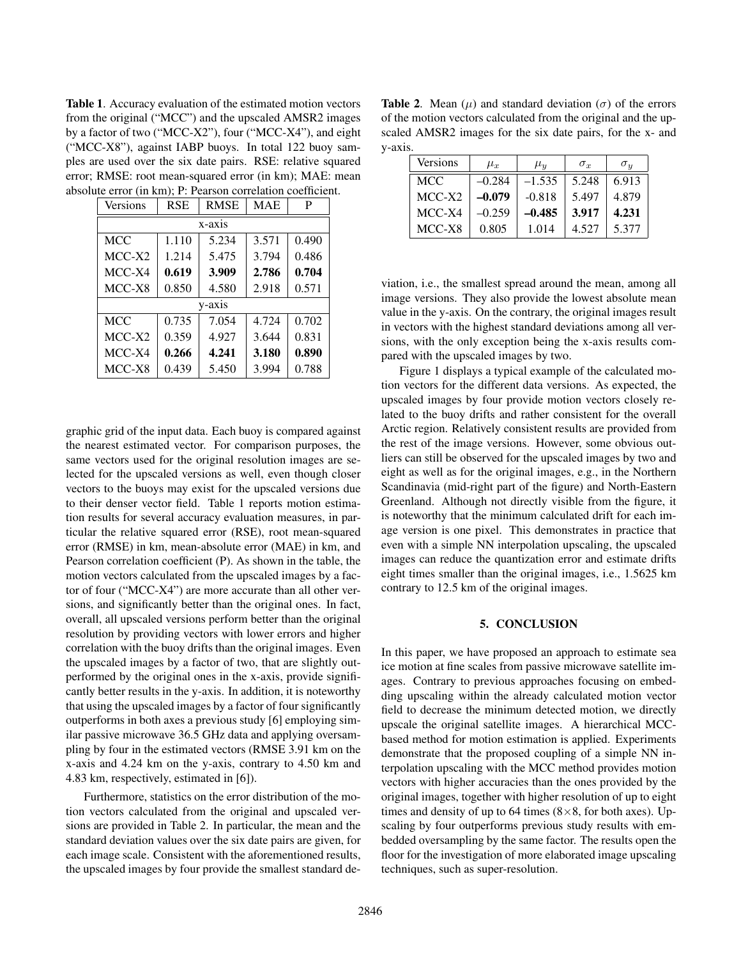Table 1. Accuracy evaluation of the estimated motion vectors from the original ("MCC") and the upscaled AMSR2 images by a factor of two ("MCC-X2"), four ("MCC-X4"), and eight ("MCC-X8"), against IABP buoys. In total 122 buoy samples are used over the six date pairs. RSE: relative squared error; RMSE: root mean-squared error (in km); MAE: mean absolute error (in km); P: Pearson correlation coefficient.

| Versions   | <b>RSE</b> | <b>RMSE</b> | <b>MAE</b> | P     |  |  |  |  |
|------------|------------|-------------|------------|-------|--|--|--|--|
| $x-axis$   |            |             |            |       |  |  |  |  |
| <b>MCC</b> | 1.110      | 5.234       | 3.571      | 0.490 |  |  |  |  |
| $MCC-X2$   | 1.214      | 5.475       | 3.794      | 0.486 |  |  |  |  |
| $MCC-X4$   | 0.619      | 3.909       | 2.786      | 0.704 |  |  |  |  |
| MCC-X8     | 0.850      | 4.580       | 2.918      | 0.571 |  |  |  |  |
| y-axis     |            |             |            |       |  |  |  |  |
| <b>MCC</b> | 0.735      | 7.054       | 4.724      | 0.702 |  |  |  |  |
| $MCC-X2$   | 0.359      | 4.927       | 3.644      | 0.831 |  |  |  |  |
| $MCC-X4$   | 0.266      | 4.241       | 3.180      | 0.890 |  |  |  |  |
| MCC-X8     | 0.439      | 5.450       | 3.994      | 0.788 |  |  |  |  |

graphic grid of the input data. Each buoy is compared against the nearest estimated vector. For comparison purposes, the same vectors used for the original resolution images are selected for the upscaled versions as well, even though closer vectors to the buoys may exist for the upscaled versions due to their denser vector field. Table 1 reports motion estimation results for several accuracy evaluation measures, in particular the relative squared error (RSE), root mean-squared error (RMSE) in km, mean-absolute error (MAE) in km, and Pearson correlation coefficient (P). As shown in the table, the motion vectors calculated from the upscaled images by a factor of four ("MCC-X4") are more accurate than all other versions, and significantly better than the original ones. In fact, overall, all upscaled versions perform better than the original resolution by providing vectors with lower errors and higher correlation with the buoy drifts than the original images. Even the upscaled images by a factor of two, that are slightly outperformed by the original ones in the x-axis, provide significantly better results in the y-axis. In addition, it is noteworthy that using the upscaled images by a factor of four significantly outperforms in both axes a previous study [6] employing similar passive microwave 36.5 GHz data and applying oversampling by four in the estimated vectors (RMSE 3.91 km on the x-axis and 4.24 km on the y-axis, contrary to 4.50 km and 4.83 km, respectively, estimated in [6]).

Furthermore, statistics on the error distribution of the motion vectors calculated from the original and upscaled versions are provided in Table 2. In particular, the mean and the standard deviation values over the six date pairs are given, for each image scale. Consistent with the aforementioned results, the upscaled images by four provide the smallest standard de-

**Table 2.** Mean ( $\mu$ ) and standard deviation ( $\sigma$ ) of the errors of the motion vectors calculated from the original and the upscaled AMSR2 images for the six date pairs, for the x- and y-axis.

| Versions   | $\mu_x$  | $\mu_{\bm{u}}$ | $\sigma_x$ | $\sigma_u$ |
|------------|----------|----------------|------------|------------|
| <b>MCC</b> | $-0.284$ | $-1.535$       | 5.248      | 6.913      |
| $MCC-X2$   | $-0.079$ | $-0.818$       | 5.497      | 4.879      |
| MCC-X4     | $-0.259$ | $-0.485$       | 3.917      | 4.231      |
| MCC-X8     | 0.805    | 1.014          | 4.527      | 5.377      |

viation, i.e., the smallest spread around the mean, among all image versions. They also provide the lowest absolute mean value in the y-axis. On the contrary, the original images result in vectors with the highest standard deviations among all versions, with the only exception being the x-axis results compared with the upscaled images by two.

Figure 1 displays a typical example of the calculated motion vectors for the different data versions. As expected, the upscaled images by four provide motion vectors closely related to the buoy drifts and rather consistent for the overall Arctic region. Relatively consistent results are provided from the rest of the image versions. However, some obvious outliers can still be observed for the upscaled images by two and eight as well as for the original images, e.g., in the Northern Scandinavia (mid-right part of the figure) and North-Eastern Greenland. Although not directly visible from the figure, it is noteworthy that the minimum calculated drift for each image version is one pixel. This demonstrates in practice that even with a simple NN interpolation upscaling, the upscaled images can reduce the quantization error and estimate drifts eight times smaller than the original images, i.e., 1.5625 km contrary to 12.5 km of the original images.

### 5. CONCLUSION

In this paper, we have proposed an approach to estimate sea ice motion at fine scales from passive microwave satellite images. Contrary to previous approaches focusing on embedding upscaling within the already calculated motion vector field to decrease the minimum detected motion, we directly upscale the original satellite images. A hierarchical MCCbased method for motion estimation is applied. Experiments demonstrate that the proposed coupling of a simple NN interpolation upscaling with the MCC method provides motion vectors with higher accuracies than the ones provided by the original images, together with higher resolution of up to eight times and density of up to 64 times  $(8\times8, 60)$  for both axes). Upscaling by four outperforms previous study results with embedded oversampling by the same factor. The results open the floor for the investigation of more elaborated image upscaling techniques, such as super-resolution.